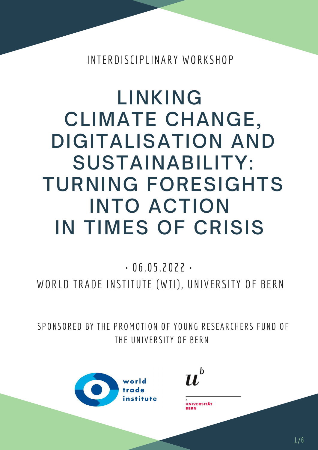# LINKING CLIMATE CHANGE, DIGITALISATION AND SUSTAINABILITY: TURNING FORESIGHTS INTO ACTION IN TIMES OF CRISIS

#### $-06.05.2022$

#### WORLD TRADE INSTITUTE (WTI), UNIVERSITY OF BERN

#### INTERDISCIPLINARY WORKSHOP

#### SPONSORED BY THE PROMOTION OF YOUNG RESEARCHERS FUND OF THE UNIVERSITY OF BERN

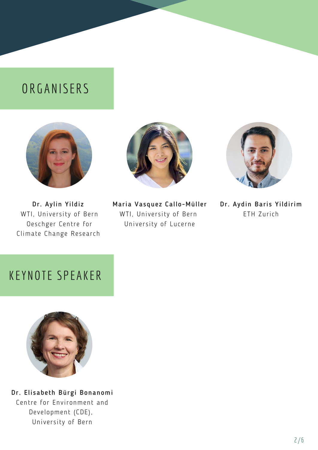## **ORGANISERS**







Dr. Aylin Yildiz WTI, University of Bern Oeschger Centre for Climate Change Research

Maria Vasquez Callo-Müller WTI, University of Bern University of Lucerne

Dr. Aydin Baris Yildirim ETH Zurich

### KEYNOTE SPEAKER



#### Dr. Elisabeth Bürgi Bonanomi Centre for Environment and Development (CDE),

University of Bern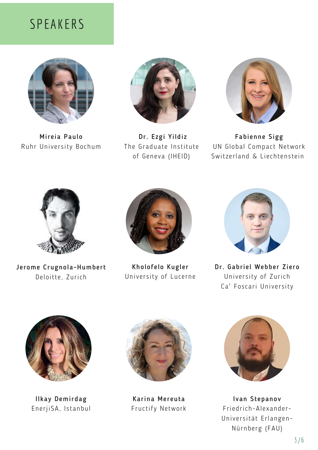#### SPEAKERS





Dr. Ezgi Yildiz The Graduate Institute of Geneva (IHEID)

Mireia Paulo Ruhr University Bochum

Ilkay Demirdag EnerjiSA, Istanbul

Dr. Gabriel Webber Ziero University of Zurich Ca' Foscari University







Fabienne Sigg UN Global Compact Network Switzerland & Liechtenstein









Kholofelo Kugler University of Lucerne

Karina Mereuta Fructify Network

Ivan Stepanov Friedrich-Alexander-Universität Erlangen-Nürnberg (FAU)

Jerome Crugnola-Humbert Deloitte, Zurich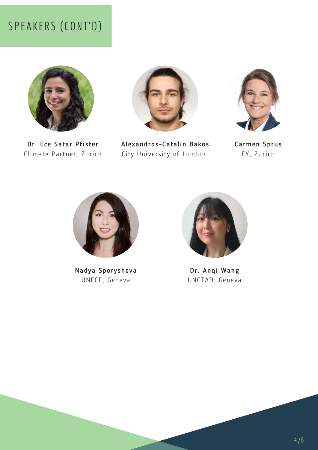#### SPEAKERS (CONT'D)





Dr. Ece Satar Pfister Climate Partner, Zurich

Carmen Sprus EY, Zurich







#### Nadya Sporysheva UNECE, Geneva

Dr. Anqi Wang UNCTAD, Geneva

Alexandros-Catalin Bakos City University of London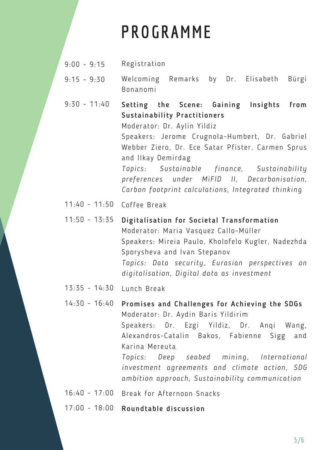## **PROGRAMME**

- $9:00 9:15$ Registration
- $9:15 9:30$ Welcoming Remarks by Dr. Elisabeth Bürgi Bonanomi
- $9:30 11:40$ Setting the Scene: Gaining Insights from Sustainability Practitioners Moderator: Dr. Aylin Yildiz Speakers: Jerome Crugnola-Humbert, Dr. Gabriel Webber Ziero, Dr. Ece Satar Pfister, Carmen Sprus and Ilkay Demirdag *Topics: Sustainable finance, Sustainability preferences under MiFID II, Decarbonisation, Carbon footprint calculations, Integrated thinking*
- 11:40 11:50 Coffee Break
- 11:50 13:35 Digitalisation for Societal Transformation Moderator: Maria Vasquez Callo-Müller

13:35 - 14:30 Lunch Break

14:30 - 16:40 Promises and Challenges for Achieving the SDGs Moderator: Dr. Aydin Baris Yildirim Speakers: Dr. Ezgi Yildiz, Dr. Anqi Wang, Alexandros-Catalin Bakos, Fabienne Sigg and Karina Mereuta *Topics: Deep seabed mining, International investment agreements and climate action, SDG ambition approach, Sustainability communication*

16:40 - 17:00 Break for Afternoon Snacks

17:00 - 18:00 Roundtable discussion

Speakers: Mireia Paulo, Kholofelo Kugler, Nadezhda Sporysheva and Ivan Stepanov *Topics: Data security, Eurasian perspectives on digitalisation, Digital data as investment*